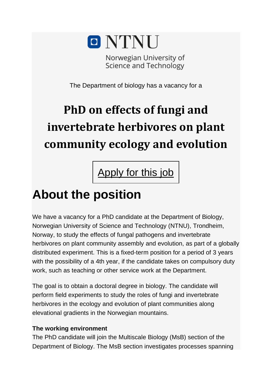

Norwegian University of Science and Technology

The Department of biology has a vacancy for a

# **PhD on effects of fungi and invertebrate herbivores on plant community ecology and evolution**

[Apply](https://www.jobbnorge.no/jobseeker/#/application/apply/221175) for this job

### **About the position**

We have a vacancy for a PhD candidate at the Department of Biology, Norwegian University of Science and Technology (NTNU), Trondheim, Norway, to study the effects of fungal pathogens and invertebrate herbivores on plant community assembly and evolution, as part of a globally distributed experiment. This is a fixed-term position for a period of 3 years with the possibility of a 4th year, if the candidate takes on compulsory duty work, such as teaching or other service work at the Department.

The goal is to obtain a doctoral degree in biology. The candidate will perform field experiments to study the roles of fungi and invertebrate herbivores in the ecology and evolution of plant communities along elevational gradients in the Norwegian mountains.

#### **The working environment**

The PhD candidate will join the Multiscale Biology (MsB) section of the Department of Biology. The MsB section investigates processes spanning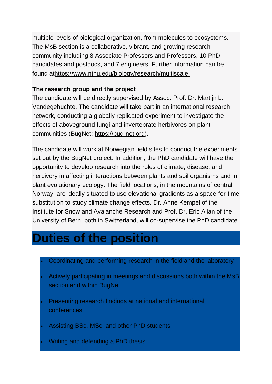multiple levels of biological organization, from molecules to ecosystems. The MsB section is a collaborative, vibrant, and growing research community including 8 Associate Professors and Professors, 10 PhD candidates and postdocs, and 7 engineers. Further information can be found a[thttps://www.ntnu.edu/biology/research/multiscale](https://www.ntnu.edu/biology/research/multiscale%C2%A0)

#### **The research group and the project**

The candidate will be directly supervised by Assoc. Prof. Dr. Martijn L. Vandegehuchte. The candidate will take part in an international research network, conducting a globally replicated experiment to investigate the effects of aboveground fungi and invertebrate herbivores on plant communities (BugNet: [https://bug-net.org\)](https://bug-net.org/).

The candidate will work at Norwegian field sites to conduct the experiments set out by the BugNet project. In addition, the PhD candidate will have the opportunity to develop research into the roles of climate, disease, and herbivory in affecting interactions between plants and soil organisms and in plant evolutionary ecology. The field locations, in the mountains of central Norway, are ideally situated to use elevational gradients as a space-for-time substitution to study climate change effects. Dr. Anne Kempel of the Institute for Snow and Avalanche Research and Prof. Dr. Eric Allan of the University of Bern, both in Switzerland, will co-supervise the PhD candidate.

#### **Duties of the position**

- Coordinating and performing research in the field and the laboratory
- Actively participating in meetings and discussions both within the MsB section and within BugNet
- Presenting research findings at national and international conferences
- Assisting BSc, MSc, and other PhD students
- Writing and defending a PhD thesis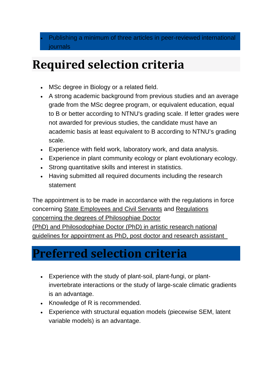## **Required selection criteria**

- MSc degree in Biology or a related field.
- A strong academic background from previous studies and an average grade from the MSc degree program, or equivalent education, equal to B or better according to NTNU's grading scale. If letter grades were not awarded for previous studies, the candidate must have an academic basis at least equivalent to B according to NTNU's grading scale.
- Experience with field work, laboratory work, and data analysis.
- Experience in plant community ecology or plant evolutionary ecology.
- Strong quantitative skills and interest in statistics.
- Having submitted all required documents including the research statement

The appointment is to be made in accordance with the regulations in force concerning [State Employees and Civil Servants](https://lovdata.no/dokument/NL/lov/2017-06-16-67) and [Regulations](https://lovdata.no/dokument/SFE/forskrift/2018-12-05-1878)  [concerning the degrees of](https://lovdata.no/dokument/SFE/forskrift/2018-12-05-1878) Philosophiae Doctor

(PhD) and Philosodophiae [Doctor \(PhD\) in artistic research](https://lovdata.no/dokument/SFE/forskrift/2018-12-05-1878) national [guidelines for appointment as PhD, post doctor and research assistant](https://lovdata.no/dokument/SFE/forskrift/2018-12-05-1878) 

### **Preferred selection criteria**

- Experience with the study of plant-soil, plant-fungi, or plantinvertebrate interactions or the study of large-scale climatic gradients is an advantage.
- Knowledge of R is recommended.
- Experience with structural equation models (piecewise SEM, latent variable models) is an advantage.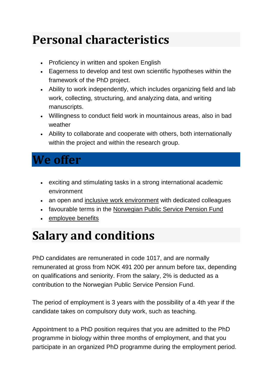## **Personal characteristics**

- Proficiency in written and spoken English
- Eagerness to develop and test own scientific hypotheses within the framework of the PhD project.
- Ability to work independently, which includes organizing field and lab work, collecting, structuring, and analyzing data, and writing manuscripts.
- Willingness to conduct field work in mountainous areas, also in bad weather
- Ability to collaborate and cooperate with others, both internationally within the project and within the research group.

#### **We offer**

- exciting and stimulating tasks in a strong international academic environment
- an open and [inclusive work environment](http://innsida.ntnu.no/wiki/-/wiki/Norsk/Inkluderende+arbeidsliv) with dedicated colleagues
- favourable terms in the [Norwegian Public Service Pension Fund](https://www.spk.no/en/)
- [employee benefits](https://innsida.ntnu.no/wiki/-/wiki/English/Benefits+and+discounts)

### **Salary and conditions**

PhD candidates are remunerated in code 1017, and are normally remunerated at gross from NOK 491 200 per annum before tax, depending on qualifications and seniority. From the salary, 2% is deducted as a contribution to the Norwegian Public Service Pension Fund.

The period of employment is 3 years with the possibility of a 4th year if the candidate takes on compulsory duty work, such as teaching.

Appointment to a PhD position requires that you are admitted to the PhD programme in biology within three months of employment, and that you participate in an organized PhD programme during the employment period.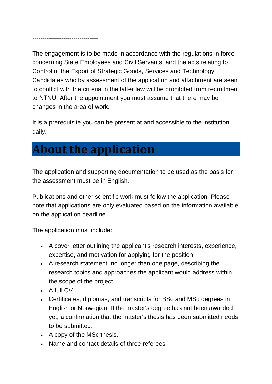--------------------------------

The engagement is to be made in accordance with the regulations in force concerning State Employees and Civil Servants, and the acts relating to Control of the Export of Strategic Goods, Services and Technology. Candidates who by assessment of the application and attachment are seen to conflict with the criteria in the latter law will be prohibited from recruitment to NTNU. After the appointment you must assume that there may be changes in the area of work.

It is a prerequisite you can be present at and accessible to the institution daily.

### **About the application**

The application and supporting documentation to be used as the basis for the assessment must be in English.

Publications and other scientific work must follow the application. Please note that applications are only evaluated based on the information available on the application deadline.

The application must include:

- A cover letter outlining the applicant's research interests, experience, expertise, and motivation for applying for the position
- A research statement, no longer than one page, describing the research topics and approaches the applicant would address within the scope of the project
- A full CV
- Certificates, diplomas, and transcripts for BSc and MSc degrees in English or Norwegian. If the master's degree has not been awarded yet, a confirmation that the master's thesis has been submitted needs to be submitted.
- A copy of the MSc thesis.
- Name and contact details of three referees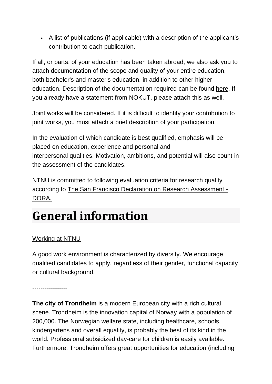• A list of publications (if applicable) with a description of the applicant's contribution to each publication.

If all, or parts, of your education has been taken abroad, we also ask you to attach documentation of the scope and quality of your entire education, both bachelor's and master's education, in addition to other higher education. Description of the documentation required can be found [here.](https://www.ntnu.edu/positions/documentation-requirements-of-academic-credentials) If you already have a statement from NOKUT, please attach this as well.

Joint works will be considered. If it is difficult to identify your contribution to joint works, you must attach a brief description of your participation.

In the evaluation of which candidate is best qualified, emphasis will be placed on education, experience and personal and interpersonal qualities. Motivation, ambitions, and potential will also count in the assessment of the candidates.

NTNU is committed to following evaluation criteria for research quality according to The San Francisco Declaration on Research Assessment - DORA.

## **General information**

#### [Working at NTNU](https://www.ntnu.edu/nirs)

A good work environment is characterized by diversity. We encourage qualified candidates to apply, regardless of their gender, functional capacity or cultural background.

-----------------

**The city of Trondheim** is a modern European city with a rich cultural scene. Trondheim is the innovation capital of Norway with a population of 200,000. The Norwegian welfare state, including healthcare, schools, kindergartens and overall equality, is probably the best of its kind in the world. Professional subsidized day-care for children is easily available. Furthermore, Trondheim offers great opportunities for education (including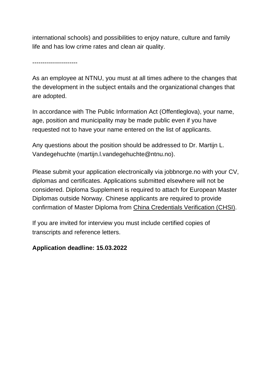international schools) and possibilities to enjoy nature, culture and family life and has low crime rates and clean air quality.

----------------------

As an employee at NTNU, you must at all times adhere to the changes that the development in the subject entails and the organizational changes that are adopted.

In accordance with The Public Information Act (Offentleglova), your name, age, position and municipality may be made public even if you have requested not to have your name entered on the list of applicants.

Any questions about the position should be addressed to Dr. Martijn L. Vandegehuchte (martijn.l.vandegehuchte@ntnu.no).

Please submit your application electronically via jobbnorge.no with your CV, diplomas and certificates. Applications submitted elsewhere will not be considered. Diploma Supplement is required to attach for European Master Diplomas outside Norway. Chinese applicants are required to provide confirmation of Master Diploma from [China Credentials Verification \(CHSI\).](http://www.chsi.com.cn/en/)

If you are invited for interview you must include certified copies of transcripts and reference letters.

#### **Application deadline: 15.03.2022**